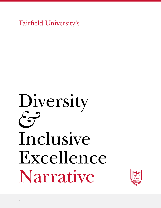Fairfield University's

# Diversity *&* Inclusive Excellence Narrative

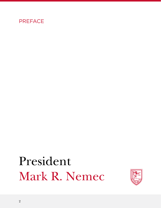

## President Mark R. Nemec

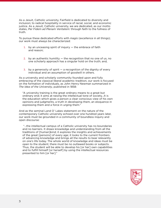As a Jesuit, Catholic university, Fairfield is dedicated to diversity and inclusion; to radical hospitality in service of racial, social, and economic justice. As a Jesuit, Catholic university, we are dedicated, as our motto states, *Per Fidem ad Plenam Veritatem:* through faith to the fullness of truth.

To pursue these dedicated efforts with *magis* (excellence in all things); our work must always be characterized:

- 1. by an unceasing spirit of inquiry  $-$  the embrace of faith and reason;
- 2. by an authentic humility  $-$  the recognition that no one of us, no one scholarly approach has a singular hold on the truth; and,
- 3. by a generosity of spirit  $-$  a recognition of the dignity of every individual and an assumption of goodwill in others.

As a university and scholarly community founded upon and fully embracing of the classical liberal academic tradition, our work is focused on the formation of individuals, as John Henry Newman summarized in *The Idea of the University*, published in 1858:

"A university training is the great ordinary means to a great but ordinary end; it aims at raising the intellectual tone of society…It is the education which gives a person a clear conscious view of his own opinions and judgments, a truth in developing them, an eloquence in expressing them and a force in urging them."

And as the seminal Land O' Lakes statement on the nature of the contemporary Catholic university echoed over one hundred years later, our work must be grounded in a community of boundless inquiry and open discourse:

 "…the intellectual campus of a Catholic university has no boundaries and no barriers. It draws knowledge and understanding from all the traditions of [human]kind; it explores the insights and achievements of the great [persons] of every age; it looks to the current frontiers of advancing knowledge and brings all the results to bear relevantly on one's life today. The whole world of knowledge and ideas must be open to the student; there must be no outlawed books or subjects. Thus, the student will be able to develop his [or her] own capabilities and to fulfill himself [or herself] by using the intellectual resources presented to him [or her]."

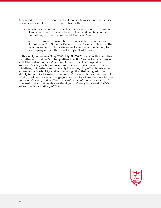Grounded in these three sentiments of inquiry, humility, and the dignity of every individual, we offer this narrative both as:

- a. an exercise in common reflection, keeping in mind the words of James Baldwin: "Not everything that is faced can be changed, but nothing can be changed until it is faced," and,
- b. as an instrument for aspiration, responsive to the call of Rev. Arturo Sosa, S.J., Superior General of the Society of Jesus, in the most recent Apostolic preferences for works of the Society to accompany our youth toward a hope-filled future.

In this, an Ignatian Year (May 2021-July 31, 2022), we offer this narrative to further our work as "contemplatives in action" as well as to enhance activities well underway. Our commitment to radical hospitality in service of racial, social, and economic justice is instantiated in many initiatives, but perhaps most notably in our ongoing effort to advance access and affordability, and with a recognition that our goal is not simply to recruit a broader community of students, but rather to recruit, retain, graduate, place, and engage a community of students — with the support of faculty and staff — that is reflective of the rich tapestry of humankind and that celebrates the dignity of every individual. AMDG. All for the Greater Glory of God.

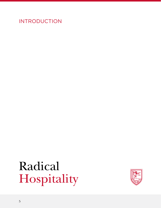INTRODUCTION

## Radical Hospitality

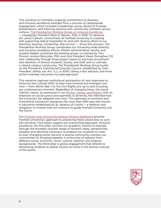This narrative on Fairfield's ongoing commitment to diversity and inclusive excellence emerges from a process of campuswide engagement, which included a leadership survey, Board of Trustees presentations, and listening sessions with community members across campus. [The Presidential Working Group on Inclusive Excellence](https://www.fairfield.edu/about-fairfield/mission-values-history/diversity-and-inclusive-excellence/index.html) — charged by President Mark R. Nemec, PhD, in 2018 "to advance the Jesuit Catholic commitment of Fairfield University to creating and supporting radical hospitality for and with diverse others in our teaching, learning, scholarship, and service" — drove this process. The Presidential Working Group coordinates our University-wide diversity and inclusive excellence efforts. Fifteen administrative, faculty, and student leaders constitute the working group, co-chaired by Vice Provost Jocelyn Boryczka, PhD, and Vice President Karen Donoghue '03, who collaborate through three project teams to promote recruitment and retention of diverse students, faculty, and staff, and to cultivate a vibrant campus community. The Presidential Working Group builds on the President's Institutional Diversity Council, established by then-President Jeffrey von Arx, S.J., in 2005, taking a less advisory and more action-oriented, outcomes-focused approach.

This narrative captures institutional anticipation of, and responses to, historical and cultural shifts as they have evolved and emerged over time — from World War II to the Civil Rights era, up to and including our contemporary moment. Regardless of changing times, the Jesuit Catholic values, as expressed in our [Mission, Values, and History](https://www.fairfield.edu/about-fairfield/mission-values-history/index.html), with its emphasis on social justice and openness to diversity, has informed how the University has adapted over time. This openness to evolution and institutional conversion expresses the more than 500-year-old mission in education established by St. Ignatius of Loyola — a tradition and obligation to mission that will continue to guide Fairfield University into the future.

Our [Diversity and Inclusive Excellence Mission Statement](https://www.fairfield.edu/about/mission-values-history/diversity-and-inclusive-excellence/index.html) grounds Fairfield University's approach to advancing these values and, as such, this narrative. Four pillars support our overarching approach. Inclusive excellence, the first pillar, anchors our academic mission to educate through the broadest possible range of dynamic ideas, perspectives, peoples, and identities necessary, to prepare our students to meet an ever-changing world. Second, a diverse community conveys our commitment to bringing together a community of learners from different social, economic, racial, cultural, national, and religious backgrounds. The third pillar is global engagement that attends to developing students as global citizens at home in the diverse cultures of the world.

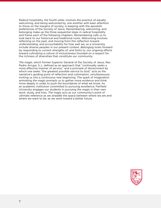Radical hospitality, the fourth pillar, involves the practice of equally welcoming, and being welcomed by, one another with keen attention to those on the margins of society, in keeping with the apostolic preferences of the Society of Jesus. Remembering, welcoming, and belonging make up the three sequential steps in radical hospitality and frame each of the following chapters: *Remembering* calls us to look back to our historical and traditional roots. *Welcoming* involves reflecting on the past, and moving from this reflection toward understanding, and accountability for how well we, as a University, include diverse peoples in our present context. *Belonging* looks forward by responding to current strengths of, and limits to, our ongoing efforts toward cultivating a culture of inclusiveness founded on a respect for the richness of diversities that constitute our community.

*The magis*, which former Superior General of the Society of Jesus, Rev. Pedro Arrupe, S.J., defined as an approach that "continually seeks a more effective manner of service," and a principle of discernment by which one seeks "the greatest possible service to God," acts as the narrative's guiding point of reflection and culmination, simultaneously inviting us into a continuous new beginning. The spark of imagination animating *the magis* prompts us to gather more evidence and think more deeply in order to push the boundaries of what we know. As an academic institution committed to pursuing excellence, Fairfield University engages our students in pursuing *the magis* in their own work, study, and lives. *The magis* acts as our community's point of ultimate reference as we straddle the space between where we are and where we want to be, as we work toward a better future.

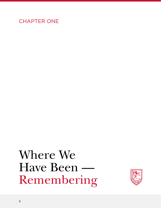### CHAPTER ONE

### Where We Have Been — Remembering

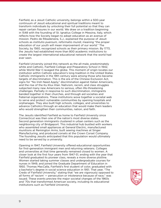Fairfield, as a Jesuit Catholic university, belongs within a 500-year continuum of Jesuit educational and spiritual traditions meant to transform individuals by unlocking their full potential so that they can repair certain fissures in our world. We draw on a tradition beginning in 1548 with the founding of St. Ignatius College in Messina, Italy, which reflects how the Society began to adopt education as an avenue of mission. Pedro de Ribadeneira, S.J., explained the purpose of Jesuit schools as *institutio pueroum, reformatio mundi*, meaning "the proper education of our youth will mean improvement of our world." The Society, by 1560, recognized schools as their primary mission. By 1773, the Jesuits had established more than 800 academic institutions to create the largest international educational network that the world had ever seen.

Fairfield University joined this network as the all-male, predominately white and Catholic, Fairfield College and Preparatory School in 1942, while World War II ravaged the globe. This moment of origin locates our institution within Catholic education's long tradition in the United States. Catholic immigrants in the 19th century were among those who became targets of discrimination. This is the era of the Chinese Exclusion Act, signs for "No Irish Need Apply," discrimination against Italian Americans, and the rise of the Ku Klux Klan. Nativism, racism, and class struggles subjected many new Americans to serious, often life-threatening challenges. Partially in response to such discrimination, immigrants banded together in their churches, and through aid societies and fraternal organizations. These institutions wove together a societal web to serve and protect vulnerable communities by opening hospitals and orphanages. They also built high schools, colleges, and universities to advance Catholics through an education that would make them leaders who would strengthen their communities, nation, and faith.

The Jesuits identified Fairfield as home to Fairfield University since Connecticut was then one of the nation's most diverse states. Second generation immigrants clustered in urban centers such as the neighboring city of Bridgeport. This industrial hub bustled with workers who assembled small appliances at General Electric, manufactured munitions at Remington Arms, built sewing machines at Singer Manufacturing, and produced corsets at the Crown Corset Company. The founding Jesuits anticipated that this population would ultimately need to be served by a university.

Opening in 1947, Fairfield University offered educational opportunities for first-generation immigrant men and returning veterans. Colleges and universities at that time generally remained closed to women. A closer look at the first four years from 1947-51, ending with the year that Fairfield graduated its pioneer class, reveals a more diverse plotline. Women started taking summer classes and undergraduate courses for nurses in 1949, and joined the Graduate Department of Education in 1950. Thomas MacCalla, Fairfield's first student of color, graduated with a bachelor's degree in social science education in 1951. That year, "The Credo of Fairfield University," stating that "we are vigorously opposed to all forms of 'racism' — persecution or intolerance because of race," was issued. These events preview the major societal changes of the 1960s and '70s that transformed American society, including its educational institutions such as Fairfield University.

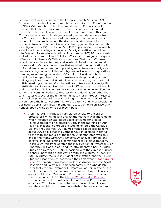Tectonic shifts also occurred in the Catholic Church. Vatican II (1962- 65) and the Society of Jesus, through the Jesuit General Congregation 32 (1973-75), brought a critical recommitment to Catholic social teaching that altered how campuses such as Fairfield responded to the era's push for inclusion by marginalized groups. During this time, Catholic universities and colleges gained greater independence from the Catholic Church which moved them away from the constraints of Catholic theology to secure the diversity of ideas aligned with academic freedom. Fairfield University directly joined this national shift as a litigant in the *Tilton v. Richardson* 1971 Supreme Court case which established that a college or university's religious affiliation did not interfere with its secular educational functions. In 1967, 26 male priests and educators went to Land O' Lakes, Wisconsin, to reignite the spark of Vatican II in America's Catholic universities. Their Land O' Lakes report declared true autonomy and academic freedom as essential to the survival of Catholic universities that required open education with no forbidden books, attention to pressing social issues, and religious leaders sharing responsibilities with laypeople. University corporations then began assuming ownership of Catholic universities, which established independent boards of trustees with sponsoring orders and laypeople represented. Fairfield became separately incorporated in 1974, marking a decline of ecclesiastical control over University life. In 1975, the Jesuits recognized that their indifference to the vulnerable and marginalized "is leading, to division rather than union, to alienation rather than communication, to oppression and domination rather than to a greater respect for the rights of individuals or of groups." Against this backdrop and that of the era's civil rights movements, Fairfield encountered the historical struggle for the dignity of diverse peoples in our nation. Certain significant moments, focused on religion, race, and gender, open a window onto our recent past:

April 14, 1965, introduced Fairfield University to the era of protest for civil rights and against the Vietnam War, movements which included an expressed desire by some for greater religious freedom of expression. Early in the morning on April 14, a never-identified group of students entered the Canisius Library. They set free 100 volumes from a caged area holding about 700 books that the Catholic Church deemed "harmful to the faith and morals of the faithful." Months later, Vatican II ended this *Index Librorum Prohibitorum* and, at Fairfield, the library's cage. Reflecting a commitment to religious freedom, Fairfield University celebrated the inauguration of Professor Ellen Umansky, PhD, as the Carl and Dorothy Bennett Chair in Judaic Studies on October 18, 1994, a position with the express purpose to share knowledge of the Jewish faith and culture. In February 2010, KADIMA, the Jewish student organization, and the Muslim Student Association co-sponsored their first event, "Stand Up for [Peace,"](https://www.fairfield.edu/news/press-releases/2010/february/fairfield-universitys-muslim-student-association-and-kadima-the-jewish-students-organization-will-cosponsor-first-event-together.html) a comedy show featuring Jewish American comic Scott Blakeman and Palestinian American comic Dean Obeidallah. Later that year on November 19, Imam Amjad Tarsin offered the first Muslim prayer, the Jumu'ah, on campus. Campus Ministry appointed Jewish, Muslim, and Protestant chaplains to serve the community in 2010. The [Islamic World Studies Program](https://www.fairfield.edu/undergraduate/academics/schools-and-colleges/college-of-arts-and-sciences/programs/islamic-world-studies/index.html), currently directed by Professor Martin Nguyen, PhD, became a minor in 2016 to introduce students to aspects of Muslim societies and Islamic civilization's artistic, literary, and cultural

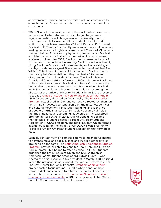achievements. Embracing diverse faith traditions continues to animate Fairfield's commitment to the religious freedom of its community.

1968-69, amid an intense period of the Civil Rights movement, marks a point when student activism began to generate significant institutional change related to diversity, much of which specifically focused on Black students, faculty, and staff. History professor emeritus Walter J. Petry Jr., PhD, joined Fairfield in 1957 as its first faculty member of color and became a leading voice for civil rights on campus. Art Crawford '61 became the first African American to play varsity basketball at Fairfield and later became the first African American branch manager at Xerox. In November 1969, Black students presented a list of six demands that included increasing Black student enrollment, hiring Black professors in all departments, and establishing a holiday to celebrate a great Black leader, to then-President Rev. William C. McInnes, S.J., who did not respond. Black students then occupied Xavier Hall until they reached a "Statement of Agreement" with President McInnes. The Black Liaison Associated Council (BLAC) formed in 1969 to improve Black and white student relations at Fairfield, and Perry Kirk became the first advisor to minority students. Larri Mazon joined Fairfield in 1983 as counselor to minority students, later becoming the director of the Office of Minority Relations in 1988, the precursor to today's [Office of Student Diversity and Multicultural Affairs](https://www.fairfield.edu/undergraduate/student-life-and-services/student-diversity/) (SDMA) currently directed by Pejay Lucky. The [Black Studies](https://www.fairfield.edu/undergraduate/academics/schools-and-colleges/college-of-arts-and-sciences/programs/black-studies/index.html) Program, established in 1994 and currently directed by Shannon King, PhD, is "devoted to scholarship on the histories, political and cultural movements, institution-building, and identities of people of African ancestry." Ed Cooley became Fairfield's first Black head coach, assuming leadership of the basketball program in April 2006. In 2015, Anif McDonald '16 became the first Black student elected Fairfield University Student Association (FUSA) president. The Black Student Union formed in 2016, building on the legacy of UMOJA, Kiswahili for "unity," Fairfield's African American student association that formed in 1979.

Such student activism on campus catalyzed meaningful change to advance racial and social justice and inspired other diverse groups to do the same. The Latin American & Caribbean Studies [Program,](https://www.fairfield.edu/undergraduate/academics/schools-and-colleges/college-of-arts-and-sciences/programs/latin-american-and-caribbean-studies/index.html) now co-directed by Jennifer Adair, PhD, and Lucrecia Garcia-Iommi, PhD, began to offer its minor in 1980. Students organized the Latinx Student Union and SALSA (Spanish American Latinx Student Association). Edwin Muniz '11 was elected the first Hispanic FUSA president in March 2010. Fairfield joined the national dialogue about immigration reform in 2009. The now-Center for Social Impact's [Strangers as Neighbors](https://www.fairfield.edu/news/press-releases/2016/january/strangers-as-neighbors-how-religious-dialogue-can-help-reframe-the-issue-of-immigration.html) project hosted focus groups, issued a white paper on how religious dialogue can help to reframe the political discourse on immigration, and created the Strangers as Neighbors Toolkit: [One Parish One Community](https://www.fairfield.edu/media/fairfielduniversitywebsite/documents/academic/cfpl_strangersasneighbors_toolkit_2016.pdf) in 2013 for engaging United States Catholic Congregations in difficult dialogues.

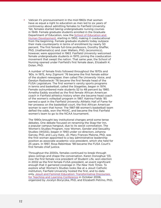Vatican II's pronouncement in the mid-1960s that women have as equal a right to education as men led to six years of controversy about admitting females to Fairfield University. Yet, females started taking undergraduate nursing courses in 1949. Female graduate students enrolled in the Graduate Department of Education, now the [School of Education and](https://www.fairfield.edu/graduate-and-professional-studies/school-of-education-and-human-development/index.html)  [Human Development,](https://www.fairfield.edu/graduate-and-professional-studies/school-of-education-and-human-development/index.html) starting in 1950, making it coeducational from the beginning. Female graduate students today outpace their male counterparts in terms of enrollment by nearly 50 percent. The first female full-time professors, Dorothy Shaffer, PhD, (mathematics) and Joan Walters, PhD, (economics), however, were appointed in 1963. Fairfield University welcomed female undergraduate students in 1970, joining the coeducation movement that swept the nation. That same year, the School of Nursing opened under Fairfield's first female dean, Elizabeth K. Dolan, PhD.

A number of female firsts followed throughout the 1970s and '80s. In 1975, Amy Zigmont '76 became the first female editor of the student newspaper, then called *The University Voice*, and Geralyn Radowiecki '76 became the first female head of the FUSA Legislature. The first women's varsity sports programs in tennis and basketball, called the Stagettes, began in 1974. Female outnumbered male students 52 to 48 percent by 1980. Arnetha Eaddy excelled as the first female African American coach in Fairfield athletics history when she became head coach of the women's volleyball program in 1987. Katrina Fields '85 earned a spot in the Fairfield University Athletic Hall of Fame for her prowess on the basketball court, the first African American woman to earn that honor. The 1987-88 women's basketball team defied the odds, won the MAAC, and became the first Fairfield women's team to go to the NCAA tournament.

The 1990s brought key institutional changes amid some tense debates. One debate focused on renaming the Stag-Her Inn, a popular campus hangout, due to its sexist connotation. The Women's Studies Program, now Women, Gender and Sexuality Studies (WGSS), began in 1993 under co-directors Johanna Garvey, PhD, and Lucy Katz, JD. Mary Frances Malone, PhD, was the first woman appointed to a key administrative leadership position as associate academic vice president, which she held for 25 years. In 1997, Rosa Rebimbas '98 became the FUSA Court's first female chief justice.

Throughout the 2000s, females continued to break through glass ceilings and shape the conversation. Karen Donoghue '03, now the first female vice president of Student Life, won election in 2002 as the first female FUSA president, an event significant enough that it garnered coverage in *The New York Times*. To explore what Women's Studies looks like at a Jesuit Catholic institution, Fairfield University hosted the first, and to-date only, [Jesuit and Feminist Education: Transformative Discourses](https://www.fairfield.edu/news/press-releases/2006/october/fairfield-university-to-host-conference-on-jesuit-and-feminist-teaching.html)  [for Teaching and Learning Conference](https://www.fairfield.edu/news/press-releases/2006/october/fairfield-university-to-host-conference-on-jesuit-and-feminist-teaching.html) in October 2006, organized by Jocelyn Boryczka, PhD, and Elizabeth Petrino, PhD,

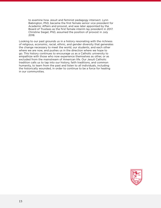to examine how Jesuit and feminist pedagogy intersect. Lynn Babington, PhD, became the first female senior vice president for Academic Affairs and provost, and was later appointed by the Board of Trustees as the first female interim lay president in 2017. Christine Siegel, PhD, assumed the position of provost in July 2018.

Looking to our past grounds us in a history resonating with the richness of religious, economic, racial, ethnic, and gender diversity that generates the change necessary to meet the world, our students, and each other where we are now, and pushes us in the direction where we hope to go. This history continues to encourage us as a Catholic university to empathize with those who now experience themselves as other, or as excluded from the mainstream of American life. Our Jesuit Catholic tradition calls us to tap into our history, faith traditions, and common humanity, to learn from the past and listen to all individuals, including the historically wounded, in order to continue to be a force for healing in our communities.

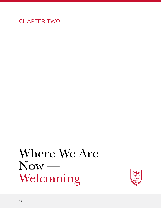### CHAPTER TWO

## Where We Are Now — Welcoming

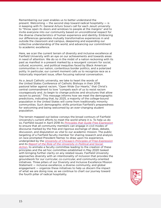Remembering our past enables us to better understand the present. Welcoming — the second step toward radical hospitality — is in keeping with Fr. General Arturo Sosa's call for each Jesuit university to "throw open its doors and windows to people at the margins" and to invite everyone into our community based on unconditional respect for the diverse characteristics of human experience and identity. Embracing our differences generates mutually transformative experiences in and outside the classroom and campus, deepening and expanding our collective understanding of the world, and advancing our commitment to academic excellence.

Here, we scan the current terrain of diversity and inclusive excellence at Fairfield University with an eye on our achievements and towards areas in need of attention. We do so in the midst of a nation reckoning with its past as manifest in a present marked by a resurgent concern for social, cultural, economic, and political inequities faced by Black American communities in our nation, contentious border politics, and a polarized polity. In particular, our current moment calls us to recognize race as a historically important issue, often focusing national conversation.

As a Jesuit Catholic university, we take to heart the words of the United States Conference of Catholic Bishops in their 2018 pastoral letter against racism, "Open Wide Our Hearts," that Christ's central commandment to love "compels each of us to resist racism courageously and…to begin to change policies and structures that allow racism to persist." This message informs how we meet the demographic predictions, indicating that, by 2025, a majority of the college-bound population in the United States will come from traditionally minority communities. Such demographic shifts prioritize Fairfield's preparedness for welcoming and being welcomed by an ever-changing student population.

The terrain mapped out below conveys the broad contours of Fairfield University's current efforts to meet the world where it is. To help us do so, Fairfield issued in April 2018 its *[Principles that Guide Free Expression](https://www.fairfield.edu/about/leadership-offices/office-of-the-provost/index.html)* to ensure that all community members can engage in civil modes of discourse marked by the free and rigorous exchange of ideas, debate, discussion, and disputation as vital to our academic mission. The public targeting of a Fairfield faculty member for sharing research and analysis on race prompted President Nemec to draw upon his experience, undergirded by the *[University of Chicago's Principles of Free Expression](https://provost.uchicago.edu/sites/default/files/documents/reports/FOECommitteeReport.pdf)* and its *[Report of the Role of the University in Political and Social](https://provost.uchicago.edu/reports/report-universitys-role-political-and-social-action)  [Action](https://provost.uchicago.edu/reports/report-universitys-role-political-and-social-action)*, to animate a faculty committee leading to the creation of these principles and the ad hoc committee established in May 2020 tasked with bringing further clarity on any related issues. Fairfield University approaches diversity with an intentionality of inclusion that provides the groundwork for our curricular, co-curricular, and community-oriented initiatives. Three pillars of our Diversity and Inclusive Excellence Mission Statement — inclusive excellence, a diverse community, and global engagement — organize these initiatives to help us discern the impact of what we are doing now, as we continue to chart our journey toward the fourth pillar of radical hospitality.

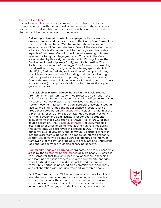#### Inclusive Excellence

This pillar animates our academic mission as we strive to educate through engaging with the broadest possible range of dynamic ideas, perspectives, and identities as necessary for achieving the highest standards of learning in an ever-changing world.

Delivering a dynamic curriculum engaged with the world's diverse peoples and ideas starts with the *Magis* Core Curriculum that was implemented in 2018 to create a shared learning experience for all Fairfield students. Overall, the Core Curriculum advances Fairfield's commitment to *the magis* as it translates aspects of our Jesuit Catholic tradition into learning outcomes relevant for today's college graduates. Courses in the Core are animated by three signature elements: Writing Across the Curriculum, Interdisciplinary Study, and Social Justice. The Social Justice element of the *Magis* Core focuses on examining social justice through the Ignatian lens to engage students in identifying "values, beliefs, and practices of multiple cultures, worldviews, or perspectives," including their own and asking "critical questions about assumptions, biases, or worldviews." One of the two required higher level Social Justice courses "must focus on race (broadly conceived), studied intersectionally with gender and class."

A "Black Lives Matter" course, housed in the Black Studies Program, emerged from student-led protests on campus in the wake of Michael Brown's shooting by a police officer in Ferguson, Missouri on August 9, 2014, that mobilized the Black Lives Matter movement across the nation. Fairfield University students, faculty, and staff formed the Racial Justice is Social Justice group that coordinated [demonstrations](http://fairfieldmirror.com/news/students-and-administration-demonstrate-for-racial-justice/), including a die-in at the DiMenna-Nyselius Library's lobby attended by then-President von Arx. Faculty and administrators responded to student calls, echoing those who took over Xavier Hall in 1969, for this course's creation. The ["Black Lives Matter](https://catalog.fairfield.edu/courses/bl/)" course, modeled after similar courses implemented at other universities during this same time, was approved at Fairfield in 2016. The course brings various faculty, staff, and community partners together into the classroom experience, in a model of interdisciplinarity, so that "students will be empowered to identify and interrupt frameworks of racism" and "be able to articulate and understand race and racism from a multidisciplinary perspective."

[Community-Engaged Learning](https://www.fairfield.edu/undergraduate/academics/centers/center-for-social-impact/community-engaged-learning/index.html), coordinated across our academic areas by the [Center for Social Impact](https://www.fairfield.edu/undergraduate/academics/centers/center-for-social-impact/index.html), delivers nearly 30 courses each semester that take an experiential approach to teaching and learning that links academic study to community-engaged work. Fairfield strives to build sustainable and reciprocal community partnerships based on a commitment to solidarity and collaboration with marginalized and vulnerable people.

First-Year Experience (FYE), a co-curricular seminar for all firstyear students, covers various topics including an introduction to our Jesuit values, the importance of creating an inclusive community, and expectations of an academic community. In particular, FYE engages students in dialogue around the

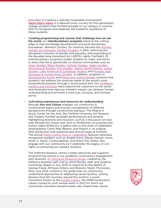principles of creating a radically hospitable environment. [Alpha Alpha Alpha](https://www.1stgenhonors.org/) is a national honor society for first-generation college students that Fairfield brought to our campus in summer 2021 to recognize and celebrate the academic excellence of these students.

- Curating programming and courses that challenge how we see the world, our interdisciplinary programs stand at the cutting edge of new knowledge development and push disciplinary boundaries. Women's Studies, for instance, became the Women, [Gender and Sexuality Studies Program](https://www.fairfield.edu/undergraduate/academics/schools-and-colleges/college-of-arts-and-sciences/programs/women-gender-and-sexuality-studies/) in 2012, reflecting the discipline's inclusion of gender and sexuality, and responding to the decades-long movement for LGBTQ+ rights. Fairfield's 22 interdisciplinary programs enable students to major and minor in areas that focus specifically on diverse communities such as [Asian Studies](https://www.fairfield.edu/undergraduate/academics/schools-and-colleges/college-of-arts-and-sciences/programs/asian-studies/index.html), [Black Studies](https://www.fairfield.edu/undergraduate/academics/schools-and-colleges/college-of-arts-and-sciences/programs/black-studies/index.html), [Catholic Studies](https://www.fairfield.edu/undergraduate/academics/schools-and-colleges/college-of-arts-and-sciences/programs/catholic-studies/index.html), [Italian Studies](https://www.fairfield.edu/undergraduate/academics/schools-and-colleges/college-of-arts-and-sciences/programs/italian-studies/index.html), [International Studies](https://www.fairfield.edu/undergraduate/academics/schools-and-colleges/college-of-arts-and-sciences/programs/international-studies/index.html), [Irish Studies](https://www.fairfield.edu/undergraduate/academics/schools-and-colleges/college-of-arts-and-sciences/programs/irish-studies/index.html), [Islamic World Studies,](https://www.fairfield.edu/undergraduate/academics/schools-and-colleges/college-of-arts-and-sciences/programs/islamic-world-studies/index.html) [Judaic](https://www.fairfield.edu/undergraduate/academics/schools-and-colleges/college-of-arts-and-sciences/programs/judaic-studies/index.html)  [Studies,](https://www.fairfield.edu/undergraduate/academics/schools-and-colleges/college-of-arts-and-sciences/programs/judaic-studies/index.html) [Latin American & Caribbean Studies](https://www.fairfield.edu/undergraduate/academics/schools-and-colleges/college-of-arts-and-sciences/programs/latin-american-and-caribbean-studies/index.html), and [Russian, East](https://www.fairfield.edu/undergraduate/academics/schools-and-colleges/college-of-arts-and-sciences/programs/russian-east-european-and-central-asian-studies/index.html)  [European & Central Asian Studies](https://www.fairfield.edu/undergraduate/academics/schools-and-colleges/college-of-arts-and-sciences/programs/russian-east-european-and-central-asian-studies/index.html). In addition, programs in [Humanitarian Action](https://www.fairfield.edu/undergraduate/academics/schools-and-colleges/college-of-arts-and-sciences/programs/humanitarian-action/) and [Peace and Justice Studies](https://www.fairfield.edu/undergraduate/academics/schools-and-colleges/college-of-arts-and-sciences/programs/peace-and-justice-studies/index.html) examine how students can address the pressing needs of the world's most marginalized peoples through a social justice lens. Our **Academic** [Centers and Institutes](https://www.fairfield.edu/undergraduate/academics/centers/index.html) reach beyond the classroom to the world and showcase how rigorous scholarly inquiry can advance human understanding and promote a more just, inclusive, and humane world.
- Cultivating experiences and resources for understanding through **Arts and Culture** engages our community in controversial topics and ensures consideration of different perspectives through constructive dialogue. The Regina A. Quick Center for the Arts, the Fairfield University Art Museum, and Theatre Fairfield spotlight performances and exhibits highlighting diversity and inclusion, such as a discussion on race with Michael Eric Dyson and John H. McWhorter, an evening with author Isabel Wilkerson, a gallery talk on the work of celebrated photographer Carrie Mae Weems, and *Project X*, an original 2021 production that explored race and privilege at Fairfield. The annual [Martin Luther King Jr. Celebration](https://www.fairfield.edu/mlk/) features nationally recognized speakers such as Angela Davis, Nikole Hannah-Jones, Ibram X. Kendi, Cristina Beltrán, and Robin D.G. Kelley, who engage with our community as it celebrates the legacy of civil rights as enlivening our present moment.

The DiMenna-Nyselius Library curates resources and supports programming central to our academic community's engagement with diversity. [An Antiracist Resource Guide](https://librarybestbets.fairfield.edu/antiracistresources), created by the DiMenna-Nyselius staff, and to which faculty, staff, and students contribute, began in July 2020 in response to the deaths of George Floyd, Ahmaud Arbery, and Breonna Taylor. The books, films, and other content in the guide help our community understand approaches to addressing racial injustice. Joining libraries from 85 countries around the world in a social movement known as the [Human Library,](https://www.fairfield.edu/library/humanlibraryevent/index.html) the DiMenna-Nyselius Library hosted its sixth annual event in 2021 for which our community members became books who shared their stories

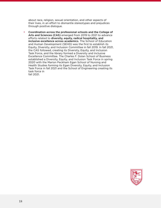about race, religion, sexual orientation, and other aspects of their lives, in an effort to dismantle stereotypes and prejudices through positive dialogue.

• Coordination across the professional schools and the College of Arts and Sciences (CAS) emerged from 2019 to 2021 to advance efforts related to diversity, equity, radical hospitality, and inclusive excellence across academics. The School of Education and Human Development (SEHD) was the first to establish its Equity, Diversity, and Inclusion Committee in fall 2019. In fall 2021, the CAS followed, creating its Diversity, Equity, and Inclusion Task Force, and the library formed a Diversity and Inclusive Excellence Committee. The Charles F. Dolan School of Business established a Diversity, Equity, and Inclusion Task Force in spring 2020 with the Marion Peckham Egan School of Nursing and Health Studies forming its Egan Diversity, Equity, and Inclusion Task Force in fall 2021 and the School of Engineering creating its task force in fall 2021.

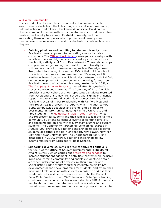#### A Diverse Community

The second pillar distinguishes a Jesuit education as we strive to welcome individuals from the fullest range of social, economic, racial, cultural, national, and religious backgrounds possible. Building our diverse community begins with recruiting students, staff, administrators, trustees, and faculty to join us at Fairfield University, and then supporting them in their personal and professional development to meet an ever-changing world — and our students — continually where they are.

- Building pipelines and recruiting for student diversity drives Fairfield's overall approach to cultivating a more inclusive community. The **Office of Admission** develops relationships with middle schools and high schools nationally, particularly those in the Jesuit, Nativity, and Cristo Rey networks. These relationships complement long-standing partnerships the University has with some schools in those networks, such as Brooklyn Jesuit Prep, which has brought more than 100 of their middle school students to campus each summer for over 20 years, and St. Martin de Porres Academy, which initially partnered with Fairfield on the development of its curriculum and training for teachers. Fairfield's newest initiative in this arena, created in fall 2021, is [The Company Scholars Program,](https://www.fairfield.edu/undergraduate/financial-aid-and-tuition/scholarships-and-grants/index.html) named after St. Ignatius' six closest companions known as "The Company of Jesus," which provides a select cohort of underrepresented students recruited from Jesuit and Cristo Rey high schools with significant financial support and wrap-around academic resources. More locally, Fairfield is expanding our relationship with Fairfield Prep and their robust S.E.E.D. diversity program, which includes cultural clubs, campuswide activities and events, and a 1:1 peer-topeer mentoring program connecting Fairfield University and Prep students. The [Multicultural Visit Program \(MVP\)](https://www.fairfield.edu/undergraduate/admission/visits-and-interviews/multicultural-visit-program/index.html) invites underrepresented students and their families to join the Fairfield community by attending campus events celebrating diversity and speaking one-on-one with faculty, staff, alumni, and current students. The Community Partnership Scholarship, started in August 1999, provides full-tuition scholarships to top academic students at partner schools in Bridgeport, New Haven, New York City, and Newark, New Jersey. The Bridgeport Tuition Grant, established in 2000, offers full-tuition scholarships to lowincome families from Bridgeport Public Schools.
- Supporting diverse students in order to thrive at Fairfield is the focus of the Office of Student Diversity and Multicultural Affairs (SDMA), which carries out [programs and services](https://www.fairfield.edu/undergraduate/student-life-and-services/student-diversity/programs-services/index.html) to increase student engagement in activities that foster an inclusive living and learning community, and enables students to obtain a deeper understanding of diversity, multiculturalism, and social justice. SDMA works to further integrate diversity into developmental and social programs for students, and establishes meaningful relationships with students in order to address their needs, interests, and concerns more effectively. The Diversity Book Club, Breakfast Club, CARE team, and Safe Space training create awareness and educational opportunities. SDMA supports mentorship programs for students and coordinates Fairfield United, an umbrella organization for affinity group student clubs.

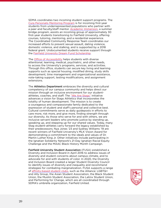SDMA coordinates two incoming student support programs. The [Cura Personalis Mentoring Program](https://www.fairfield.edu/undergraduate/student-life-and-services/student-diversity/programs-services/index.html) is for incoming first-year students from underrepresented populations who partner with a peer and faculty/staff mentor. [Academic Immersion](https://www.fairfield.edu/undergraduate/student-life-and-services/student-diversity/programs-services/index.html), a summer bridge program, assists an incoming group of approximately 30 first-year students transitioning to Fairfield University, offering courses, tutoring, mentoring, and a residential experience. The Coordinated Community Response Team coordinates our increased efforts to prevent sexual assault, dating violence, domestic violence, and stalking, and is supported by a 2018 federal grant. Undocumented students receive support through the **Fairfield University Dream Fund Scholarship.** 

The **Office of Accessibility** helps students with diverse attentional, learning, medical, psychiatric, and other needs, to access the University's programs, services, and activities. Through this office, students can secure key living and learning supports such as special housing, modified dining, study skills development, time management and organizational assistance, note-taking support, testing modifications, and assignment extensions.

The **Athletics Department** embraces the diversity and cultural competency of our campus community and helps direct our mission through an inclusive environment for our studentathletes, coaches, and staff. The ["We Are Stags"](https://fairfieldstags.com/news/2019/11/6/general-fairfield-athletics-launches-we-are-stags-initiative.aspx) initiative advances a vision for Stags Athletics that incorporates the totality of human development. The mission is to create a courageous and compassionate family dedicated to the expression of student and staff's personal and collective best. Cultural commitments serve as daily guideposts in efforts to care more, risk more, and give more, finding strength through our diversity. As those who serve for and with others, we are inclusive servant leaders who promote justice by standing up, speaking up, and stepping up for our shared values. Today, many Stag student-athletes carry forward the legacy established by their predecessors; Nya Jones '23 and Sydney Williams '19 are recent winners of Fairfield University's MLK Vision Award for demonstrating a commitment to the ideals and values of Dr. Martin Luther King Jr. Other initiatives include participating in the Ignatian Solidarity Network's 21-Day Ignatian Racial Equity Challenge and the MAAC Black History Month Campaign.

Fairfield University Student Association (FUSA) established a Diversity and Inclusion Board in April 2016 to address issues of diversity and student concerns about campus climate, and to advocate for and with students of color. In 2020, the Diversity and Inclusion Board created a larger Student Diversity Council to identify issues of diversity and inequality and recommend strategies for combating marginalization. FUSA supports a range of [affinity-based student clubs](https://www.fairfield.edu/undergraduate/student-life-and-services/student-diversity/affinity-clubs/index.html), such as the Alliance: LGBTQ+ and Ally Group, the Asian Student Association, the Black Student Union, the Muslim Student Association, the Latinx Student Union, and Performing for Change, which are all coordinated through SDMA's umbrella organization, Fairfield United.

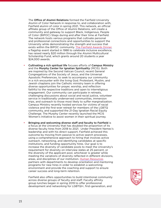The Office of Alumni Relations formed the Fairfield University Alumni of Color Network in response to, and collaboration with, Fairfield alumni of color in spring 2021. This network, an official affiliate group of the Office of Alumni Relations, will create a community and gateway to support Black, Indigenous, People of Color (BIPOC) Stags during and after their time at Fairfield. The network hosts various programs that cultivate personal and professional connections and opportunities to support the University while demonstrating the strength and success that exists within the BIPOC community. [The Fairfield Awards Dinner](https://www.fairfield.edu/awards-dinner/), a flagship event started in 1988 to celebrate inclusive excellence, has raised nearly \$20 million through the Alumni Multicultural Scholarship Fund, which grants around 20 students a year \$24,000 awards.

- Cultivating a rich spiritual life focuses efforts of Campus Ministry and the Murphy Center for Ignatian Spirituality (MCIS). Both are inspired by the Second Vatican Council, recent General Congregations of the Society of Jesus, and the Universal Apostolic Preferences, to seek to accompany our community in a rich encounter with the living God. Protestant, Muslim, and Jewish chaplains join the Catholic ministry team in offering diverse opportunities for prayer, worship, and reflection faithful to the respective traditions and open to interreligious engagement. Our community can participate in retreats, challenging discussions about social and racial justice, volunteer service in traditionally underserved communities, immersion trips, and outreach to those most likely to suffer marginalization. Campus Ministry recently hosted services for victims of racial violence and the first-ever retreat for members of the LGBTQ community, and supported the 21-Day Ignatian Racial Equity Challenge. The Murphy Center recently launched the MCIS Women's Initiative to assist women in their spiritual journey.
- Bringing and welcoming diverse staff and faculty to Fairfield is a focus at the University that has doubled the proportion of its diverse faculty hires from 2018 to 2021. Under President Nemec's leadership and with his direct support, Fairfield achieved this outcome by moving from passive to active search processes, using a comprehensive approach to hiring that involves active outreach, networking, and identifying candidates at specific institutions, and funding opportunity hires. Our goal is to increase the diversity of candidate pools to meet the University's requirement for diversity on interview slates at 25 percent, or the diversity of the applicant pool, whichever is greater while meeting the variations of diversity reflected in different divisions, areas, and disciplines of our institution. [Human Resources](https://www.fairfield.edu/human-resources/index.html) partners with departments to develop orientation and mentoring programs for new hires in order to establish a welcoming environment and provide the coaching and support to ensure career success and long-term retention.

Fairfield also offers opportunities to build intentional community across diverse groups of faculty and staff. Faculty affinity group lunches began in spring 2019 to offer professional development and networking for LGBTQI+, first-generation, and

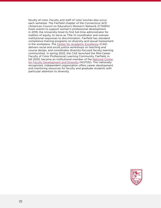faculty of color. Faculty and staff of color lunches also occur each semester. The Fairfield chapter of the Connecticut ACE (American Council on Education) Women's Network (CTAWN) hosts events to support women's professional development. In 2019, the University hired its first full-time administrator for matters of equity, to serve as Title IX coordinator and oversee institutional responses to discrimination. Fairfield has standard compliance training programs on diversity and sexual harassment in the workplace. The [Center for Academic Excellence](https://www.fairfield.edu/undergraduate/academics/centers/center-for-academic-excellence/) (CAE) delivers racial and social justice workshops on teaching and course design, and coordinates diversity-focused faculty learning communities. In spring 2022, the CAE launched the Mid-Career Faculty of Color Professional Learning Community. Fairfield, in fall 2020, became an institutional member of the National Center [for Faculty Development and Diversity](https://www.facultydiversity.org/) (NCFDD). This nationally recognized, independent organization offers career development and mentoring resources for faculty and graduate students with particular attention to diversity.

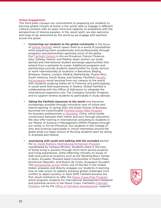#### Global Engagement

This third pillar conveys our commitment to preparing our students to become global citizens at home in the world, able to engage in different cultural contexts with an open mind and capacity to empathize with the perspectives of diverse peoples. In the Jesuit spirit, we also welcome and hope to be welcomed by the world as we engage with partners across the globe.

- Connecting our students to the global community is the focus of [Global Fairfield](https://www.fairfield.edu/undergraduate/global-fairfield/index.html), which opens them to a world of possibilities while preparing them academically and professionally through programs and partnerships spanning much of the globe. Our [Fairfield Centers](https://www.fairfield.edu/undergraduate/global-fairfield/study-abroad/?scrollto=fairfield-centers) in Aix-en-Provence, France; Florence, Italy; Galway, Ireland; and Madrid, Spain anchor our study abroad and international student exchange opportunities that extend from a semester to a year. Additional programs and partnerships provide students opportunities for study, service, or work internationally at locations in Barcelona, Beijing, Brisbane, Greece, London, Madrid, Netherlands, Puerto Rico, South America, South Korea, and Sydney. Fairfield's [faculty](https://fairfield.studioabroad.com/index.cfm?FuseAction=Abroad.ViewLink&Parent_ID=0&Link_ID=54EA84A7-5056-BA1F-71EB8F0D478FE715)[led programs](https://fairfield.studioabroad.com/index.cfm?FuseAction=Abroad.ViewLink&Parent_ID=0&Link_ID=54EA84A7-5056-BA1F-71EB8F0D478FE715) move learning from our campus to the world with students studying Italian art in Florence and participating in social work field experiences in Greece. Global Fairfield is collaborating with the Office of Admission to integrate the international experience into The Company Scholars Program, and to support diverse students to participate in study abroad.
- Taking the Fairfield classroom to the world now becomes increasingly possible through innovative uses of online and hybrid learning. In spring 2021, the Dolan School of Business launched the customizable [Fairfield Dolan MBA Program](https://www.fairfield.edu/news/archive/2020/november/mba-curriculum-customization-and-shanghai-expansion.html) [for business professionals](https://www.fairfield.edu/news/archive/2020/november/mba-curriculum-customization-and-shanghai-expansion.html) in Shanghai, China, which builds connections between their nation and ours through education. We also offer training in international consulting to students in our Master of Science in Management (MSM) Program through our center in Aix-en-Provence. Our students in the College of Arts and Sciences participate in virtual internships around the globe while our Egan School of Nursing students learn by doing in Australia and Ireland.
- Journeying with youth and walking with the excluded anchor the [St. Oscar Romero International Immersion Program](https://www.fairfield.edu/jesuit-and-catholic/campus-ministry/service-immersion-experiences/index.html) coordinated by Campus Ministry. Students share in the lives of those living in poverty through short-term service projects and living experiences, while reflecting critically on issues of faith and justice at locations such as the Working Boy's Center in Quito, Ecuador; Mustard Seed Communities in Puerto Plata, Dominican Republic; and Rostro de Cristo, Guayaquil, Ecuador. The [humanitarian action](https://www.fairfield.edu/undergraduate/academics/centers/center-for-social-impact/humanitarian-action/index.html) minor, one of the few in the United States, prepares and directly engages our students in learning how to take action to address pressing global challenges from conflict to abject poverty. In April 2019, Fairfield became the first Jesuit institution to offer the [Peace Corps Prep Program,](https://www.fairfield.edu/news/archive/2019/april/fairfield-university-becomes-first-jesuit-institution-to-offer-peace-corps-prep-program.html) which prepares students for international development fieldwork and potential service in the Peace Corps. Fairfield's **Fulbright** [Program,](https://www.fairfield.edu/undergraduate/academics/resources/office-of-scholarly-development/fairfield-fulbright-story/index.html) run by the [Office of Scholarly Development](https://www.fairfield.edu/undergraduate/academics/resources/office-of-scholarly-development/index.html), supports

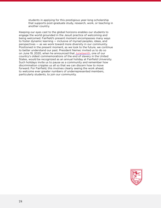students in applying for this prestigious year-long scholarship that supports post-graduate study, research, work, or teaching in another country.

Keeping our eyes cast to the global horizons enables our students to engage the world grounded in the Jesuit practice of welcoming and being welcomed. Fairfield's present moment encompasses many ways to foster dynamic learning — inclusive of myriad peoples, ideas, and perspectives — as we work toward more diversity in our community. Positioned in the present moment, as we look to the future, we continue to better understand our past. President Nemec invited us to do so on June 19, 2020, when he announced that [Juneteenth,](https://www.fairfield.edu/news/archive/2020/june/juneteenth-message-from-the-president.html) one of our country's oldest commemorations of the end of slavery in the United States, would be recognized as an annual holiday at Fairfield University. Such holidays invite us to pause as a community and remember how discrimination cripples us all so that we can discern how to move forward. For Fairfield, this involves clearly seeing the work ahead, to welcome ever greater numbers of underrepresented members, particularly students, to join our community.

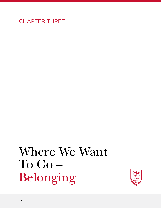### CHAPTER THREE

## Where We Want To Go – Belonging

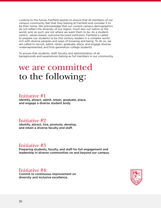Looking to the future, Fairfield aspires to ensure that all members of our campus community feel that they belong at Fairfield and consider it to be their home. We acknowledge that our current campus demographics do not reflect the diversity of our region, much less our nation or the world, and, as such, are not where we want them to be. As a studentcentric, values-based, outcome-focused institution, Fairfield is called to prepare our students to be 21st century leaders in a complex world rich with diverse peoples and ways of knowing and being. To do so, we are called to recruit, admit, retain, graduate, place, and engage diverse, underrepresented, and first-generation college students.

To ensure that students, staff, faculty, and administrators of all backgrounds and experiences belong as full members in our community,

### we are committed to the following:

#### Initiative #1

Identify, attract, admit, retain, graduate, place, and engage a diverse student body.

#### Initiative #2

Identify, attract, hire, promote, develop, and retain a diverse faculty and staff.

#### Initiative #3

Preparing students, faculty, and staff for full engagement and leadership in diverse communities on and beyond our campus.

#### Initiative #4:

Commit to continuous improvement on diversity and inclusive excellence.

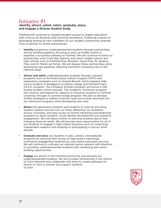### Initiative #1

#### Identify, attract, admit, retain, graduate, place, and engage a diverse student body.

Fairfield will continue to expand student access to higher education with a focus on diversity and inclusive excellence. Fostering a sense of belonging among all new members of our student community extends from in-person to online experiences.

- Identify prospective underrepresented students through partnerships and by building pipelines, focusing as early as middle school to establish a successful pathway to Fairfield. We will continue to build our partnerships with Cristo Rey, Nativity, and Jesuit middle schools and high schools such as Fairfield Prep, Brooklyn Jesuit Prep, St. Ignatius Prep, and St. Martin de Porres. We will deepen these partnerships while developing new pipelines reflecting Fairfield's increasing role on the national stage.
- Attract and admit underrepresented students through outreach programs such as the Multicultural Visitors Program (MVP) and preparatory programs such as Upward Bound, which prepares high school students in Bridgeport to attend college and Fairfield Prep's S.E.E.D. program. The Company Scholars program will recruit a fully funded student cohort annually. The Academic Immersion program will continue and expand its capacity to transition students to Fairfield University through its summer bridge program. We plan to develop further strategies to address financial need, and sustain and build out our Admission programs while developing new ones.
- Retain first-generation students and students of color by providing student support services such as those offered by our Academic Access Counselor, and easy access to formal mentoring and leadership programs to assist students' social identity development and academic engagement. We will attend further to advising students about their changing financial needs. We will provide more opportunities for all of our students to engage in high-impact practices such as conducting independent research and studying or participating in service while abroad.
- Graduate and place our students in jobs, careers, and graduate programs by ensuring their access to high-quality internships, community engagement experiences, and career placement services. We will continue to cultivate our national alumni network with attention to providing underrepresented students with mentoring and careerbuilding opportunities.
- **Engage** our alumni in the Fairfield community and advance our underrepresented students. We will increase membership in the Alumni of Color Network and collaborate with them to create pathways for alumni of color to mentor and support students of color.

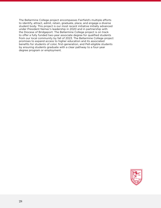The Bellarmine College project encompasses Fairfield's multiple efforts to identify, attract, admit, retain, graduate, place, and engage a diverse student body. This project is our most recent initiative initially advanced under President Nemec's leadership in 2020 and in partnership with the Diocese of Bridgeport. The Bellarmine College project is on track to offer a fully funded two-year associate degree for qualified students from our local community by fall of 2023. The Bellarmine College project promises to expand access to higher education and its associated benefits for students of color, first-generation, and Pell-eligible students by ensuring students graduate with a clear pathway to a four-year degree program or employment.

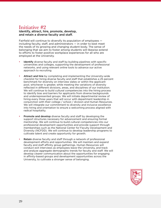#### Initiative #2

Identify, attract, hire, promote, develop, and retain a diverse faculty and staff.

Fairfield will continue to diversify its population of employees including faculty, staff, and administrators — in order to best meet the needs of its growing and changing student body. The sense of belonging that we aim to foster among students will likewise extend to efforts to foster positive workplace experiences for all who are employed at the University.

- Identify diverse faculty and staff by building pipelines with specific universities and colleges, supporting the development of professional networks, and using relevant online tools to advance our active approach to recruiting.
- Attract and hire by completing and implementing the University-wide checklist for hiring diverse faculty and staff that establishes a 25 percent benchmark for diversity on interview slates or within the applicant pool, whichever is greater, while meeting the variations of diversity reflected in different divisions, areas, and disciplines of our institution. We will continue to build cultural competencies into the hiring process to identify bias and barriers for applicants from diverse backgrounds and underrepresented groups. We will initiate departmental review of hiring every three years that will occur with department leadership in conjunction with their college / school / division and Human Resources. We will integrate our commitment to diversity and inclusive excellence into hiring and orientation to ensure a welcoming process aligned with radical hospitality.
- Promote and develop diverse faculty and staff by developing the support structures necessary for advancement and ensuring formal mentorship. We will continue to build cultural competencies into our professional development opportunities and provide support through memberships such as the National Center for Faculty Development and Diversity (NCFDD). We will continue to develop leadership programs to cultivate talent and create opportunity for growth.
- **Retain** diverse faculty and staff through a network of professional development efforts and opportunities. We will maintain and expand faculty and staff affinity group gatherings. Human Resources will conduct exit interviews as employees leave the University, and track and analyze aggregate demographic trends for faculty and staff. We will develop clearer communication about the opportunities for engaging in affinity-based groups and development opportunities across the University, to cultivate a stronger sense of belonging.

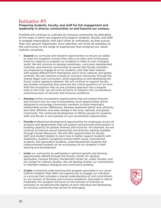### Initiative #3

Preparing students, faculty, and staff for full engagement and leadership in diverse communities on and beyond our campus.

Fairfield will continue to cultivate an inclusive community by attending to the ways in which we prepare and support students, faculty, and staff to engage meaningfully with each other as individuals, as they pursue their own growth trajectories. Such attention will invite all members of the community to the range of experiences that comprise our Jesuit Catholic university.

- **Expand** our curricular and research opportunities to ensure our ability to meet our academic mission that calls us to learn and continuously build our capacity to prepare our students to meet an ever-changing world. We will continue to develop workshops, curriculum development institutes, and learning communities to ensure that faculty members are prepared to engage all of our students, and help them interact with people different from themselves and in local, national, and global contexts. We will continue to build an inclusive community through the shared *Magis* Core Curriculum, while expanding on and developing the Social Justice signature element. We will continue to support faculty and student scholarship that examines the critical questions of our time. With the recognition that no one scholarly approach has a singular hold on the truth, we will invite all forms of research into conversations examining issues of diversity and inclusive excellence.
- **Develop** further socialization opportunities that will embed diversity and inclusion into our way of proceeding. Such opportunities will be designed to encourage community members to build meaningful relationships across differences, develop awareness about race, ethnicity, and other affinities, and seek change in the local, national, and global community. The continued development of affinity groups for students, staff, and faculty is one example of such socialization opportunities.
- Provide professional development opportunities for employees across all divisions and departments that will support and promote participation in building capacity for greater diversity and inclusion. For example, we will continue to improve sexual harassment and diversity training available through Human Resources. We will offer opportunities for faculty, staff, and student leaders to learn how to better support students with disabilities, students navigating mental health issues, international students, first-generation students, underrepresented students and undocumented students as we accompany all our students in their learning and development.
- Invite our community to participate in spiritual growth and learning opportunities offered through the Murphy Center for Ignatian Spirituality, Campus Ministry, the Bennett Center for Judaic Studies, and the Center for Catholic Studies. We will develop further our commitment to interfaith religious dialogues and community-building.
- **Create** a University-wide learning pilot program grounded in our Jesuit Catholic tradition that offers the opportunity to engage our members in a process that cultivates a shared understanding of, and commitment to, our mission of diversity and inclusive excellence. Grounded in radical hospitality, this program will focus on the richness of diversity as necessary to recognizing the dignity of each individual and developing an inclusive community that strives for belonging.

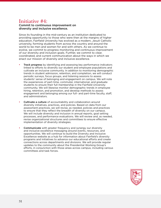#### Initiative #4:

#### Commit to continuous improvement on diversity and inclusive excellence.

Since its founding in the mid-century as an institution dedicated to providing opportunity to those who were then at the margins of higher education, Fairfield University has evolved as a modern, Jesuit Catholic university, forming students from across the country and around the world to be men and women for and with others. As we continue to evolve, we commit to progress monitoring and continuous improvement of our diversity and inclusion goals. Further, we commit to clear, coordinated, and current communication about the ways in which we enact our mission of diversity and inclusive excellence.

- Track progress by identifying and assessing key performance indicators linked to efforts to diversify our student and employee populations and cultivate an inclusive community. In addition to monitoring demographic trends in student admission, retention, and completion, we will conduct periodic surveys, focus groups, and listening sessions to assess students' sense of belonging and engagement on campus. We will note the experiences of part-time, commuter, international, and graduate students to ensure their full membership in the Fairfield University community. We will likewise monitor demographic trends in employee hiring, retention, and promotion, and develop methods to assess engagement and belonging among our full- and part-time faculty, staff, and administrators.
- **Cultivate a culture** of accountability and collaboration around diversity initiatives, practices, and policies. Based on data from our assessment practices, we will revise, as needed, policies and practices to ensure that they reflect the breadth of diversity on our campus. We will include diversity and inclusion in annual reports, goal setting processes, and performance evaluations. We will review and, as needed, revise organizational structures and committees to ensure effective implementation of diversity strategies.
- **Communicate** with greater frequency and synergy our diversity and inclusive excellence messaging around events, resources, and opportunities. We will continue to build the Diversity and Inclusive Excellence website as a hub for information about Fairfield's diversity programs and initiatives to advance our educational efforts and create connections across departments and divisions. We will provide regular updates to the community about the Presidential Working Group's efforts, in conjunction with those areas across campus, including various committees and task forces.

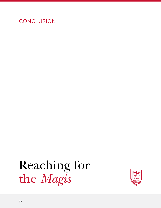### **CONCLUSION**

## Reaching for the *Magis*